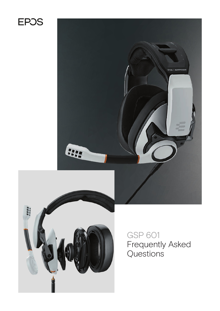# **EPOS**





GSP 601 Frequently Asked Questions